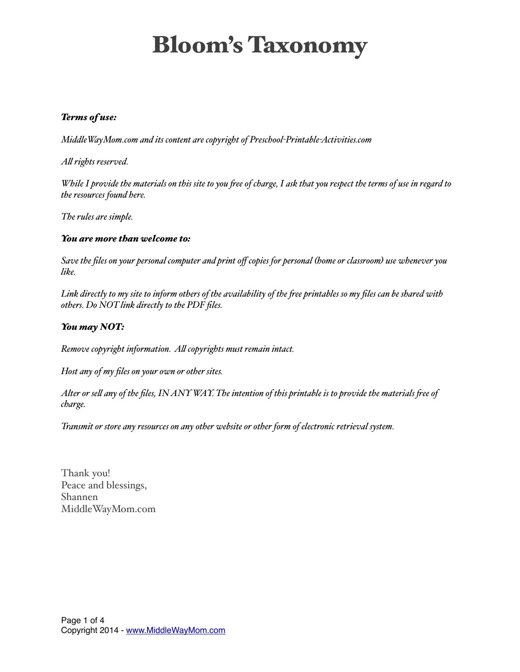#### *Terms of use:*

*MiddleWayMom.com and its content are copyright of Preschool-Printable-Activities.com*

*Al rights reserved.*

*While I provide the materials on this site to you fee of charge, I ask that you respect the terms of use in regard to the resources found here.*

*The rules are simple.*

#### *You are more than welcome to:*

*Save the files on your personal computer and print off copies for personal (home or classroom) use whenever you like.*

*Link directly to my site to inform others of the availability of the fee printables so my files can be shared with others. Do NOT link directly to the PDF files.*

#### *You may NOT:*

*Remove copyright information. Al copyrights must remain intact.*

*Host any of my files on your own or other sites.*

*Alter or sel any of the files, IN ANY WAY. The intention of this printable is to provide the materials fee of charge.*

*Transmit or store any resources on any other website or other form of electronic retrieval system.*

Thank you! Peace and blessings, Shannen MiddleWayMom.com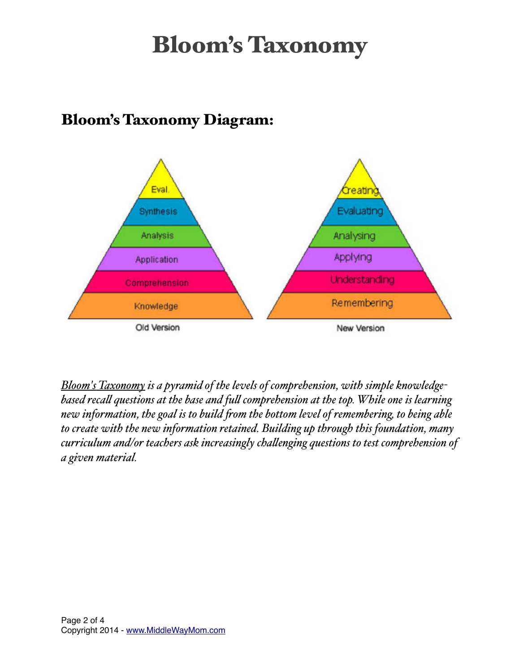

### Bloom's Taxonomy Diagram:

*Bloom's Taxonomy is a pyramid of the levels of comprehension, with simple knowledgebased recal questions at the base and ful comprehension at the top. While one is learning new information, the goal is to build fom the bottom level of remembering, to being able to create with the new information retained. Building up through this foundation, many curriculum and/or teachers ask increasingly chalenging questions to test comprehension of a given material.*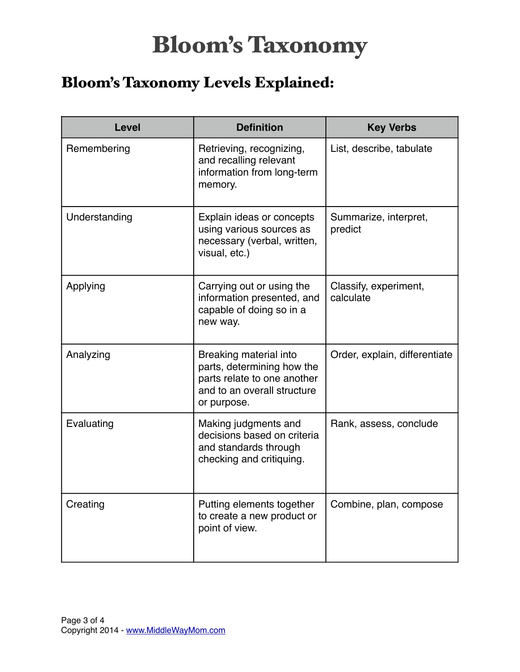### Bloom's Taxonomy Levels Explained:

| <b>Level</b>  | <b>Definition</b>                                                                                                                 | <b>Key Verbs</b>                   |
|---------------|-----------------------------------------------------------------------------------------------------------------------------------|------------------------------------|
| Remembering   | Retrieving, recognizing,<br>and recalling relevant<br>information from long-term<br>memory.                                       | List, describe, tabulate           |
| Understanding | Explain ideas or concepts<br>using various sources as<br>necessary (verbal, written,<br>visual, etc.)                             | Summarize, interpret,<br>predict   |
| Applying      | Carrying out or using the<br>information presented, and<br>capable of doing so in a<br>new way.                                   | Classify, experiment,<br>calculate |
| Analyzing     | Breaking material into<br>parts, determining how the<br>parts relate to one another<br>and to an overall structure<br>or purpose. | Order, explain, differentiate      |
| Evaluating    | Making judgments and<br>decisions based on criteria<br>and standards through<br>checking and critiquing.                          | Rank, assess, conclude             |
| Creating      | Putting elements together<br>to create a new product or<br>point of view.                                                         | Combine, plan, compose             |